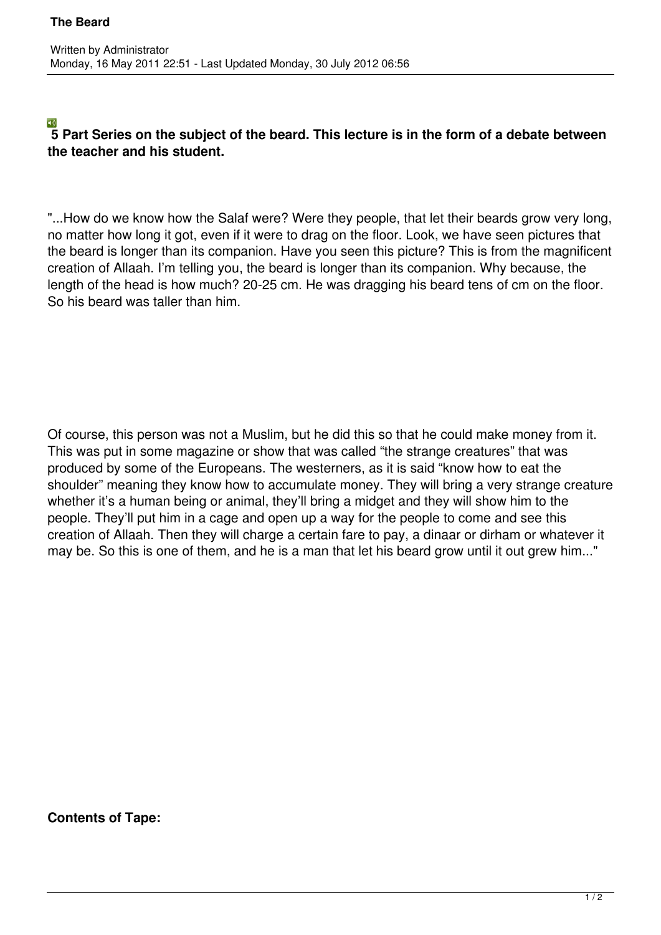## $\Box$ **5 Part Series on the subject of the beard. This lecture is in the form of a debate between the teacher and his student.**

"...How do we know how the Salaf were? Were they people, that let their beards grow very long, no matter how long it got, even if it were to drag on the floor. Look, we have seen pictures that the beard is longer than its companion. Have you seen this picture? This is from the magnificent creation of Allaah. I'm telling you, the beard is longer than its companion. Why because, the length of the head is how much? 20-25 cm. He was dragging his beard tens of cm on the floor. So his beard was taller than him.

Of course, this person was not a Muslim, but he did this so that he could make money from it. This was put in some magazine or show that was called "the strange creatures" that was produced by some of the Europeans. The westerners, as it is said "know how to eat the shoulder" meaning they know how to accumulate money. They will bring a very strange creature whether it's a human being or animal, they'll bring a midget and they will show him to the people. They'll put him in a cage and open up a way for the people to come and see this creation of Allaah. Then they will charge a certain fare to pay, a dinaar or dirham or whatever it may be. So this is one of them, and he is a man that let his beard grow until it out grew him..."

**Contents of Tape:**